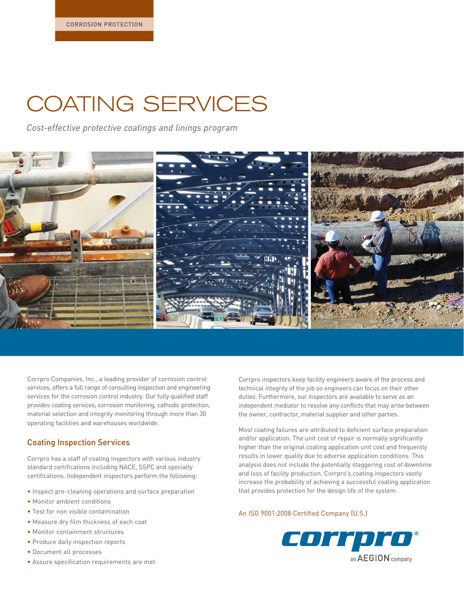# COATING SERVICES

*Cost-effective protective coatings and linings program*



Corrpro Companies, Inc., a leading provider of corrosion control services, offers a full range of consulting inspection and engineering services for the corrosion control industry. Our fully qualified staff provides coating services, corrosion monitoring, cathodic protection, material selection and integrity monitoring through more than 30 operating facilities and warehouses worldwide.

#### Coating Inspection Services

Corrpro has a staff of coating inspectors with various industry standard certifications including NACE, SSPC and specialty certifications. Independent inspectors perform the following:

- Inspect pre-cleaning operations and surface preparation
- Monitor ambient conditions
- Test for non visible contamination
- Measure dry film thickness of each coat
- Monitor containment structures
- Produce daily inspection reports
- Document all processes
- Assure specification requirements are met

Corrpro inspectors keep facility engineers aware of the process and technical integrity of the job so engineers can focus on their other duties. Furthermore, our inspectors are available to serve as an independent mediator to resolve any conflicts that may arise between the owner, contractor, material supplier and other parties.

Most coating failures are attributed to deficient surface preparation and/or application. The unit cost of repair is normally significantly higher than the original coating application unit cost and frequently results in lower quality due to adverse application conditions. This analysis does not include the potentially staggering cost of downtime and loss of facility production. Corrpro's coating inspectors vastly increase the probability of achieving a successful coating application that provides protection for the design life of the system.

#### An ISO 9001:2008 Certified Company (U.S.)